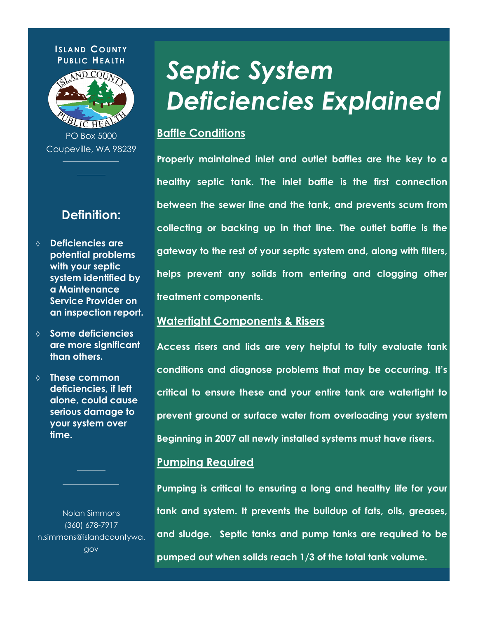

PO Box 5000 Coupeville, WA 98239

## **Definition:**

- **Deficiencies are potential problems with your septic system identified by a Maintenance Service Provider on an inspection report.**
- **Some deficiencies are more significant than others.**
- **These common deficiencies, if left alone, could cause serious damage to your system over time.**

Nolan Simmons (360) 678-7917 n.simmons@islandcountywa. gov

# *Septic System Deficiencies Explained*

## **Baffle Conditions**

**Properly maintained inlet and outlet baffles are the key to a healthy septic tank. The inlet baffle is the first connection between the sewer line and the tank, and prevents scum from collecting or backing up in that line. The outlet baffle is the gateway to the rest of your septic system and, along with filters, helps prevent any solids from entering and clogging other treatment components.** 

## **Watertight Components & Risers**

**Access risers and lids are very helpful to fully evaluate tank conditions and diagnose problems that may be occurring. It's critical to ensure these and your entire tank are watertight to prevent ground or surface water from overloading your system Beginning in 2007 all newly installed systems must have risers.** 

### **Pumping Required**

**Pumping is critical to ensuring a long and healthy life for your tank and system. It prevents the buildup of fats, oils, greases, and sludge. Septic tanks and pump tanks are required to be pumped out when solids reach 1/3 of the total tank volume.**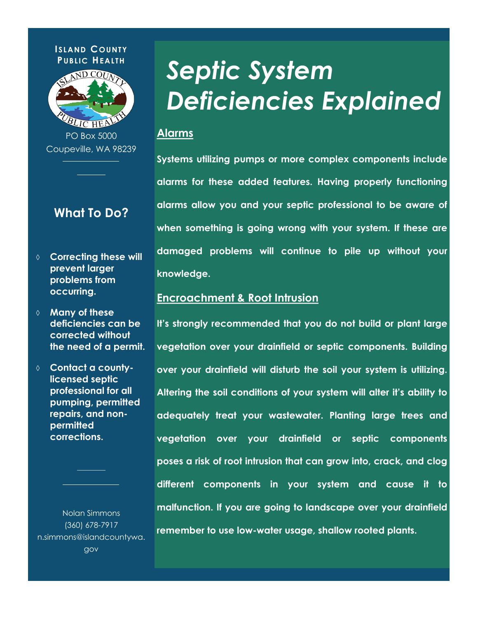

PO Box 5000 Coupeville, WA 98239

# **What To Do?**

- **Correcting these will prevent larger problems from occurring.**
- **Many of these deficiencies can be corrected without the need of a permit.**
- **Contact a countylicensed septic professional for all pumping, permitted repairs, and nonpermitted corrections.**

Nolan Simmons (360) 678-7917 n.simmons@islandcountywa. gov

# *Septic System Deficiencies Explained*

### **Alarms**

**Systems utilizing pumps or more complex components include alarms for these added features. Having properly functioning alarms allow you and your septic professional to be aware of when something is going wrong with your system. If these are damaged problems will continue to pile up without your knowledge.** 

## **Encroachment & Root Intrusion**

**It's strongly recommended that you do not build or plant large vegetation over your drainfield or septic components. Building over your drainfield will disturb the soil your system is utilizing. Altering the soil conditions of your system will alter it's ability to adequately treat your wastewater. Planting large trees and vegetation over your drainfield or septic components poses a risk of root intrusion that can grow into, crack, and clog different components in your system and cause it to malfunction. If you are going to landscape over your drainfield remember to use low-water usage, shallow rooted plants.**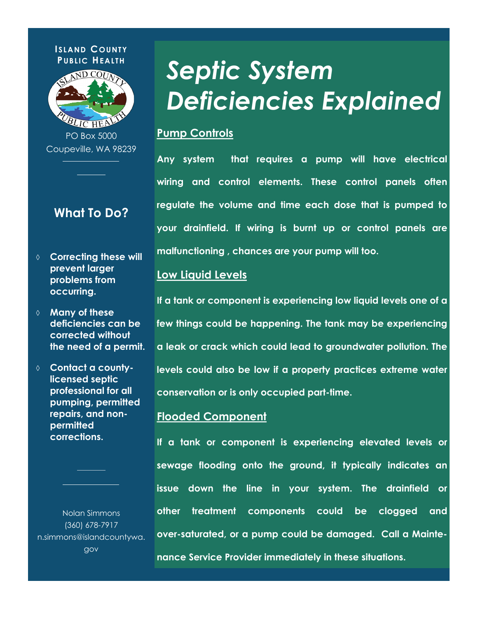

PO Box 5000 Coupeville, WA 98239

# **What To Do?**

- **Correcting these will prevent larger problems from occurring.**
- **Many of these deficiencies can be corrected without the need of a permit.**
- **Contact a countylicensed septic professional for all pumping, permitted repairs, and nonpermitted corrections.**

Nolan Simmons (360) 678-7917 n.simmons@islandcountywa. gov

# *Septic System Deficiencies Explained*

## **Pump Controls**

**Any system that requires a pump will have electrical wiring and control elements. These control panels often regulate the volume and time each dose that is pumped to your drainfield. If wiring is burnt up or control panels are malfunctioning , chances are your pump will too.** 

### **Low Liquid Levels**

**If a tank or component is experiencing low liquid levels one of a few things could be happening. The tank may be experiencing a leak or crack which could lead to groundwater pollution. The levels could also be low if a property practices extreme water conservation or is only occupied part-time.** 

### **Flooded Component**

**If a tank or component is experiencing elevated levels or sewage flooding onto the ground, it typically indicates an issue down the line in your system. The drainfield or other treatment components could be clogged and over-saturated, or a pump could be damaged. Call a Mainte-**

**nance Service Provider immediately in these situations.**